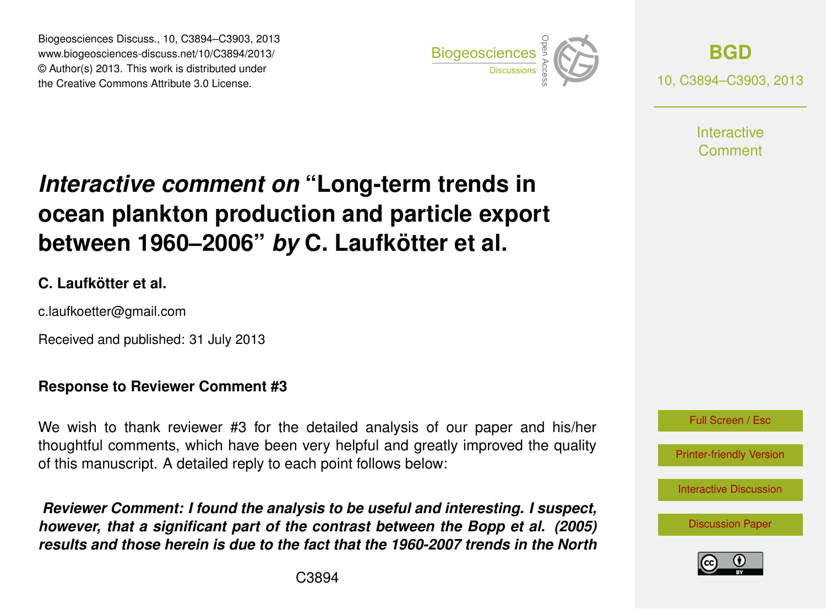Biogeosciences Discuss., 10, C3894–C3903, 2013 www.biogeosciences-discuss.net/10/C3894/2013/ www.biogeosciences-ulscuss.net/10/05694/2015/<br>© Author(s) 2013. This work is distributed under the Creative Commons Attribute 3.0 License.



**[BGD](http://www.biogeosciences-discuss.net)** 10, C3894–C3903, 2013

> **Interactive** Comment

#### Earth System ocean plankton production and particle export  $\overline{\mathbf{u}}$  $\mathbf t$ *Interactive comment on* "Long-term trends in between 1960–2006" *by* C. Laufkötter et al.

#### **C. Laufkötter et al.**

c.laufkoetter@gmail.com

Received and published: 31 July 2013

# **Response to Reviewer Comment #3**

We wish to thank reviewer #3 for the detailed analysis of our paper and his/her thoughtful comments, which have been very helpful and greatly improved the quality of this manuscript. A detailed reply to each point follows below: open<br>Open Access<br>Open Access d<br>e

*noncine comment: Hound the analysis to be ascial and interesting: I suspect,*<br>however, that a significant part of the contrast between the Bopp et al. (2005) y.<br>'e SI<br>I.<br>L Reviewer Comment: I found the analysis to be useful and interesting. I suspect, *results and those herein is due to the fact that the 1960-2007 trends in the North*



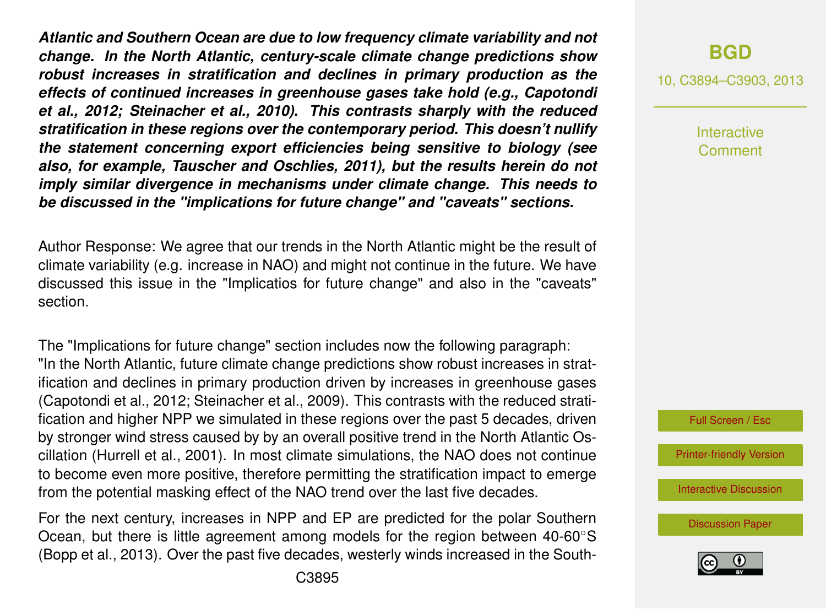*Atlantic and Southern Ocean are due to low frequency climate variability and not change. In the North Atlantic, century-scale climate change predictions show robust increases in stratification and declines in primary production as the effects of continued increases in greenhouse gases take hold (e.g., Capotondi et al., 2012; Steinacher et al., 2010). This contrasts sharply with the reduced stratification in these regions over the contemporary period. This doesn't nullify the statement concerning export efficiencies being sensitive to biology (see also, for example, Tauscher and Oschlies, 2011), but the results herein do not imply similar divergence in mechanisms under climate change. This needs to be discussed in the "implications for future change" and "caveats" sections.*

Author Response: We agree that our trends in the North Atlantic might be the result of climate variability (e.g. increase in NAO) and might not continue in the future. We have discussed this issue in the "Implicatios for future change" and also in the "caveats" section.

The "Implications for future change" section includes now the following paragraph: "In the North Atlantic, future climate change predictions show robust increases in stratification and declines in primary production driven by increases in greenhouse gases [\(Capotondi et al.,](#page-8-0) [2012;](#page-8-0) [Steinacher et al.,](#page-9-0) [2009\)](#page-9-0). This contrasts with the reduced stratification and higher NPP we simulated in these regions over the past 5 decades, driven by stronger wind stress caused by by an overall positive trend in the North Atlantic Oscillation [\(Hurrell et al.,](#page-9-0) [2001\)](#page-9-0). In most climate simulations, the NAO does not continue to become even more positive, therefore permitting the stratification impact to emerge from the potential masking effect of the NAO trend over the last five decades.

For the next century, increases in NPP and EP are predicted for the polar Southern Ocean, but there is little agreement among models for the region between 40-60◦S [\(Bopp et al.,](#page-8-0) [2013\)](#page-8-0). Over the past five decades, westerly winds increased in the South-

#### **[BGD](http://www.biogeosciences-discuss.net)**

10, C3894–C3903, 2013

Interactive Comment

Full Screen / Esc

[Printer-friendly Version](http://www.biogeosciences-discuss.net/10/C3894/2013/bgd-10-C3894-2013-print.pdf)

[Interactive Discussion](http://www.biogeosciences-discuss.net/10/5923/2013/bgd-10-5923-2013-discussion.html)

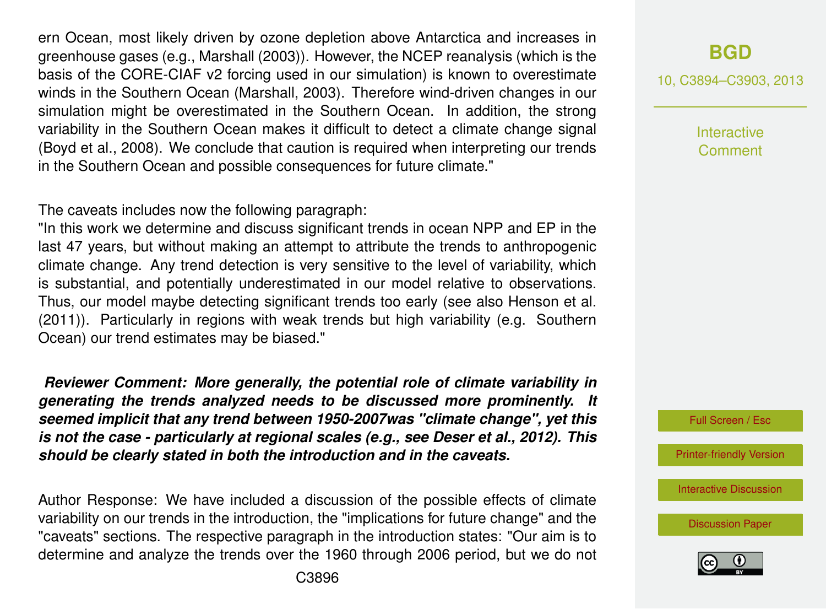ern Ocean, most likely driven by ozone depletion above Antarctica and increases in greenhouse gases (e.g., [Marshall](#page-9-0) [\(2003\)](#page-9-0)). However, the NCEP reanalysis (which is the basis of the CORE-CIAF v2 forcing used in our simulation) is known to overestimate winds in the Southern Ocean [\(Marshall,](#page-9-0) [2003\)](#page-9-0). Therefore wind-driven changes in our simulation might be overestimated in the Southern Ocean. In addition, the strong variability in the Southern Ocean makes it difficult to detect a climate change signal [\(Boyd et al.,](#page-8-0) [2008\)](#page-8-0). We conclude that caution is required when interpreting our trends in the Southern Ocean and possible consequences for future climate."

The caveats includes now the following paragraph:

"In this work we determine and discuss significant trends in ocean NPP and EP in the last 47 years, but without making an attempt to attribute the trends to anthropogenic climate change. Any trend detection is very sensitive to the level of variability, which is substantial, and potentially underestimated in our model relative to observations. Thus, our model maybe detecting significant trends too early (see also [Henson et al.](#page-8-0) [\(2011\)](#page-8-0)). Particularly in regions with weak trends but high variability (e.g. Southern Ocean) our trend estimates may be biased."

*Reviewer Comment: More generally, the potential role of climate variability in generating the trends analyzed needs to be discussed more prominently. It seemed implicit that any trend between 1950-2007was "climate change", yet this is not the case - particularly at regional scales (e.g., see Deser et al., 2012). This should be clearly stated in both the introduction and in the caveats.*

Author Response: We have included a discussion of the possible effects of climate variability on our trends in the introduction, the "implications for future change" and the "caveats" sections. The respective paragraph in the introduction states: "Our aim is to determine and analyze the trends over the 1960 through 2006 period, but we do not 10, C3894–C3903, 2013

Interactive Comment



[Printer-friendly Version](http://www.biogeosciences-discuss.net/10/C3894/2013/bgd-10-C3894-2013-print.pdf)

[Interactive Discussion](http://www.biogeosciences-discuss.net/10/5923/2013/bgd-10-5923-2013-discussion.html)

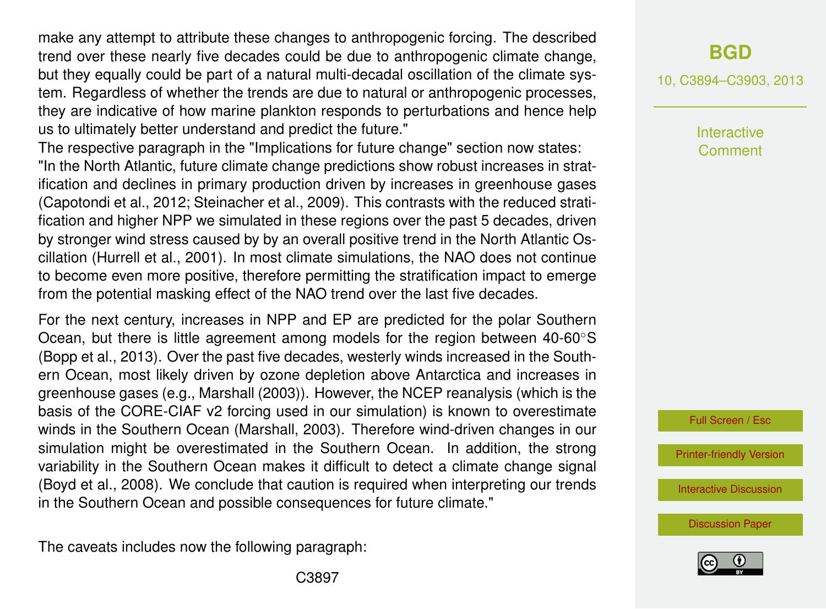make any attempt to attribute these changes to anthropogenic forcing. The described trend over these nearly five decades could be due to anthropogenic climate change, but they equally could be part of a natural multi-decadal oscillation of the climate system. Regardless of whether the trends are due to natural or anthropogenic processes, they are indicative of how marine plankton responds to perturbations and hence help us to ultimately better understand and predict the future."

The respective paragraph in the "Implications for future change" section now states: "In the North Atlantic, future climate change predictions show robust increases in stratification and declines in primary production driven by increases in greenhouse gases [\(Capotondi et al.,](#page-8-0) [2012;](#page-8-0) [Steinacher et al.,](#page-9-0) [2009\)](#page-9-0). This contrasts with the reduced stratification and higher NPP we simulated in these regions over the past 5 decades, driven by stronger wind stress caused by by an overall positive trend in the North Atlantic Oscillation [\(Hurrell et al.,](#page-9-0) [2001\)](#page-9-0). In most climate simulations, the NAO does not continue to become even more positive, therefore permitting the stratification impact to emerge from the potential masking effect of the NAO trend over the last five decades.

For the next century, increases in NPP and EP are predicted for the polar Southern Ocean, but there is little agreement among models for the region between 40-60◦S [\(Bopp et al.,](#page-8-0) [2013\)](#page-8-0). Over the past five decades, westerly winds increased in the Southern Ocean, most likely driven by ozone depletion above Antarctica and increases in greenhouse gases (e.g., [Marshall](#page-9-0) [\(2003\)](#page-9-0)). However, the NCEP reanalysis (which is the basis of the CORE-CIAF v2 forcing used in our simulation) is known to overestimate winds in the Southern Ocean [\(Marshall,](#page-9-0) [2003\)](#page-9-0). Therefore wind-driven changes in our simulation might be overestimated in the Southern Ocean. In addition, the strong variability in the Southern Ocean makes it difficult to detect a climate change signal [\(Boyd et al.,](#page-8-0) [2008\)](#page-8-0). We conclude that caution is required when interpreting our trends in the Southern Ocean and possible consequences for future climate."

The caveats includes now the following paragraph:

10, C3894–C3903, 2013

Interactive Comment

Full Screen / Esc

[Printer-friendly Version](http://www.biogeosciences-discuss.net/10/C3894/2013/bgd-10-C3894-2013-print.pdf)

[Interactive Discussion](http://www.biogeosciences-discuss.net/10/5923/2013/bgd-10-5923-2013-discussion.html)



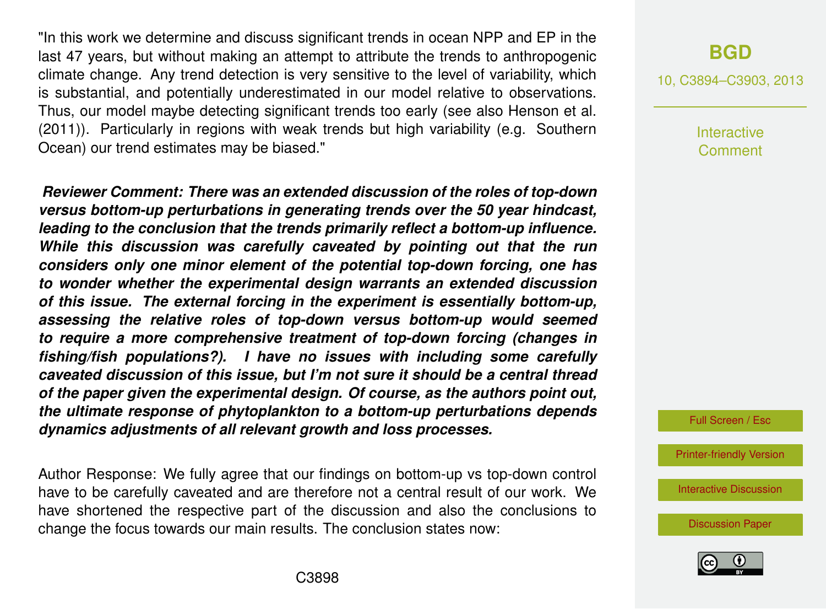"In this work we determine and discuss significant trends in ocean NPP and EP in the last 47 years, but without making an attempt to attribute the trends to anthropogenic climate change. Any trend detection is very sensitive to the level of variability, which is substantial, and potentially underestimated in our model relative to observations. Thus, our model maybe detecting significant trends too early (see also [Henson et al.](#page-8-0) [\(2011\)](#page-8-0)). Particularly in regions with weak trends but high variability (e.g. Southern Ocean) our trend estimates may be biased."

*Reviewer Comment: There was an extended discussion of the roles of top-down versus bottom-up perturbations in generating trends over the 50 year hindcast, leading to the conclusion that the trends primarily reflect a bottom-up influence. While this discussion was carefully caveated by pointing out that the run considers only one minor element of the potential top-down forcing, one has to wonder whether the experimental design warrants an extended discussion of this issue. The external forcing in the experiment is essentially bottom-up, assessing the relative roles of top-down versus bottom-up would seemed to require a more comprehensive treatment of top-down forcing (changes in fishing/fish populations?). I have no issues with including some carefully caveated discussion of this issue, but I'm not sure it should be a central thread of the paper given the experimental design. Of course, as the authors point out, the ultimate response of phytoplankton to a bottom-up perturbations depends dynamics adjustments of all relevant growth and loss processes.*

Author Response: We fully agree that our findings on bottom-up vs top-down control have to be carefully caveated and are therefore not a central result of our work. We have shortened the respective part of the discussion and also the conclusions to change the focus towards our main results. The conclusion states now:

#### **[BGD](http://www.biogeosciences-discuss.net)**

10, C3894–C3903, 2013

Interactive Comment



[Printer-friendly Version](http://www.biogeosciences-discuss.net/10/C3894/2013/bgd-10-C3894-2013-print.pdf)

[Interactive Discussion](http://www.biogeosciences-discuss.net/10/5923/2013/bgd-10-5923-2013-discussion.html)

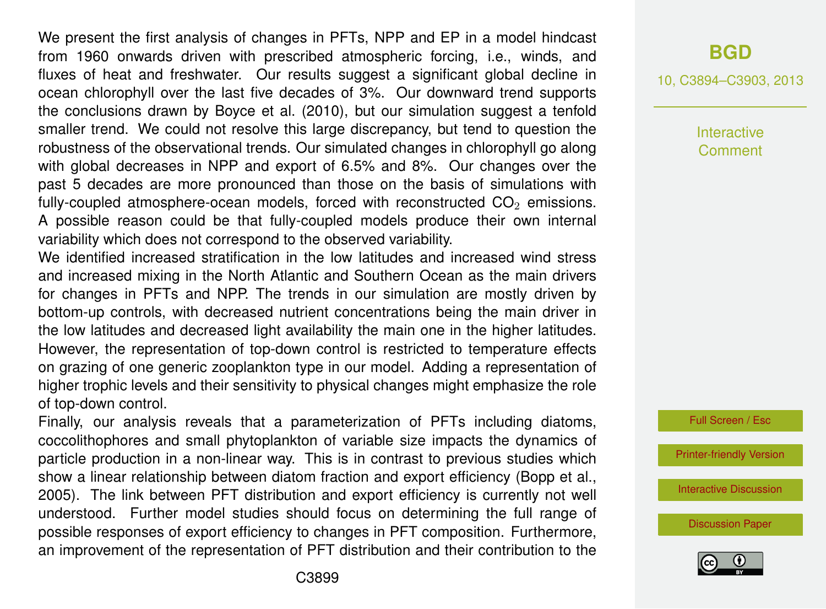We present the first analysis of changes in PFTs, NPP and EP in a model hindcast from 1960 onwards driven with prescribed atmospheric forcing, i.e., winds, and fluxes of heat and freshwater. Our results suggest a significant global decline in ocean chlorophyll over the last five decades of 3%. Our downward trend supports the conclusions drawn by [Boyce et al.](#page-8-0) [\(2010\)](#page-8-0), but our simulation suggest a tenfold smaller trend. We could not resolve this large discrepancy, but tend to question the robustness of the observational trends. Our simulated changes in chlorophyll go along with global decreases in NPP and export of 6.5% and 8%. Our changes over the past 5 decades are more pronounced than those on the basis of simulations with fully-coupled atmosphere-ocean models, forced with reconstructed  $CO<sub>2</sub>$  emissions. A possible reason could be that fully-coupled models produce their own internal variability which does not correspond to the observed variability.

We identified increased stratification in the low latitudes and increased wind stress and increased mixing in the North Atlantic and Southern Ocean as the main drivers for changes in PFTs and NPP. The trends in our simulation are mostly driven by bottom-up controls, with decreased nutrient concentrations being the main driver in the low latitudes and decreased light availability the main one in the higher latitudes. However, the representation of top-down control is restricted to temperature effects on grazing of one generic zooplankton type in our model. Adding a representation of higher trophic levels and their sensitivity to physical changes might emphasize the role of top-down control.

Finally, our analysis reveals that a parameterization of PFTs including diatoms, coccolithophores and small phytoplankton of variable size impacts the dynamics of particle production in a non-linear way. This is in contrast to previous studies which show a linear relationship between diatom fraction and export efficiency [\(Bopp et al.,](#page-8-0) [2005\)](#page-8-0). The link between PFT distribution and export efficiency is currently not well understood. Further model studies should focus on determining the full range of possible responses of export efficiency to changes in PFT composition. Furthermore, an improvement of the representation of PFT distribution and their contribution to the

#### **[BGD](http://www.biogeosciences-discuss.net)**

10, C3894–C3903, 2013

Interactive Comment



[Printer-friendly Version](http://www.biogeosciences-discuss.net/10/C3894/2013/bgd-10-C3894-2013-print.pdf)

[Interactive Discussion](http://www.biogeosciences-discuss.net/10/5923/2013/bgd-10-5923-2013-discussion.html)

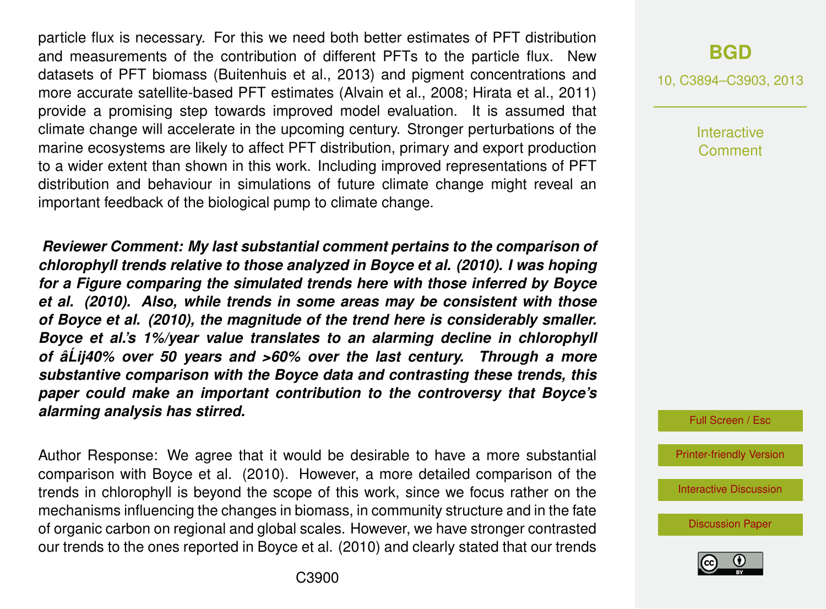particle flux is necessary. For this we need both better estimates of PFT distribution and measurements of the contribution of different PFTs to the particle flux. New datasets of PFT biomass [\(Buitenhuis et al.,](#page-8-0) [2013\)](#page-8-0) and pigment concentrations and more accurate satellite-based PFT estimates [\(Alvain et al.,](#page-8-0) [2008;](#page-8-0) [Hirata et al.,](#page-8-0) [2011\)](#page-8-0) provide a promising step towards improved model evaluation. It is assumed that climate change will accelerate in the upcoming century. Stronger perturbations of the marine ecosystems are likely to affect PFT distribution, primary and export production to a wider extent than shown in this work. Including improved representations of PFT distribution and behaviour in simulations of future climate change might reveal an important feedback of the biological pump to climate change.

*Reviewer Comment: My last substantial comment pertains to the comparison of chlorophyll trends relative to those analyzed in Boyce et al. (2010). I was hoping for a Figure comparing the simulated trends here with those inferred by Boyce et al. (2010). Also, while trends in some areas may be consistent with those of Boyce et al. (2010), the magnitude of the trend here is considerably smaller. Boyce et al.'s 1%/year value translates to an alarming decline in chlorophyll of âLij40% over 50 years and >60% over the last century. Through a more ´ substantive comparison with the Boyce data and contrasting these trends, this paper could make an important contribution to the controversy that Boyce's alarming analysis has stirred.*

Author Response: We agree that it would be desirable to have a more substantial comparison with Boyce et al. (2010). However, a more detailed comparison of the trends in chlorophyll is beyond the scope of this work, since we focus rather on the mechanisms influencing the changes in biomass, in community structure and in the fate of organic carbon on regional and global scales. However, we have stronger contrasted our trends to the ones reported in Boyce et al. (2010) and clearly stated that our trends

## **[BGD](http://www.biogeosciences-discuss.net)**

10, C3894–C3903, 2013

Interactive Comment

Full Screen / Esc

[Printer-friendly Version](http://www.biogeosciences-discuss.net/10/C3894/2013/bgd-10-C3894-2013-print.pdf)

[Interactive Discussion](http://www.biogeosciences-discuss.net/10/5923/2013/bgd-10-5923-2013-discussion.html)

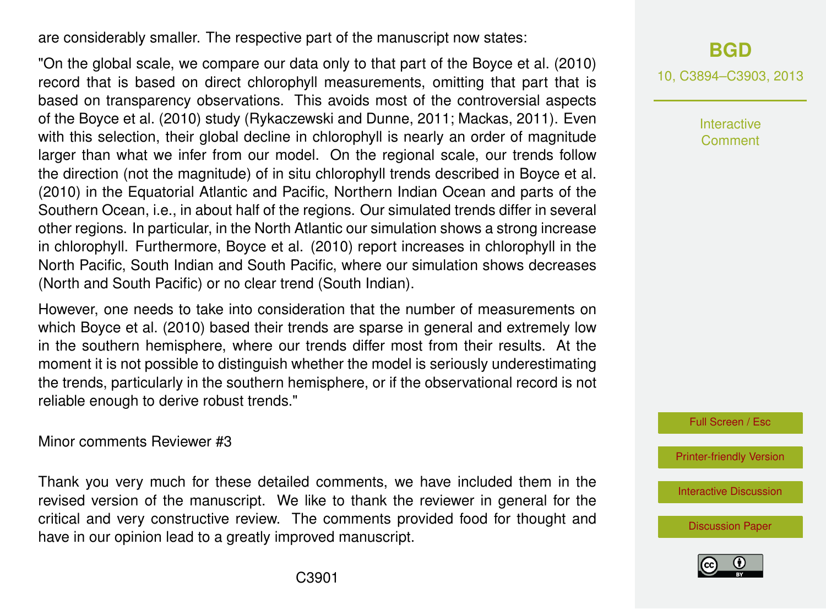are considerably smaller. The respective part of the manuscript now states:

"On the global scale, we compare our data only to that part of the [Boyce et al.](#page-8-0) [\(2010\)](#page-8-0) record that is based on direct chlorophyll measurements, omitting that part that is based on transparency observations. This avoids most of the controversial aspects of the [Boyce et al.](#page-8-0) [\(2010\)](#page-8-0) study [\(Rykaczewski and Dunne,](#page-9-0) [2011;](#page-9-0) [Mackas,](#page-9-0) [2011\)](#page-9-0). Even with this selection, their global decline in chlorophyll is nearly an order of magnitude larger than what we infer from our model. On the regional scale, our trends follow the direction (not the magnitude) of in situ chlorophyll trends described in Boyce et al. (2010) in the Equatorial Atlantic and Pacific, Northern Indian Ocean and parts of the Southern Ocean, i.e., in about half of the regions. Our simulated trends differ in several other regions. In particular, in the North Atlantic our simulation shows a strong increase in chlorophyll. Furthermore, Boyce et al. (2010) report increases in chlorophyll in the North Pacific, South Indian and South Pacific, where our simulation shows decreases (North and South Pacific) or no clear trend (South Indian).

However, one needs to take into consideration that the number of measurements on which [Boyce et al.](#page-8-0) [\(2010\)](#page-8-0) based their trends are sparse in general and extremely low in the southern hemisphere, where our trends differ most from their results. At the moment it is not possible to distinguish whether the model is seriously underestimating the trends, particularly in the southern hemisphere, or if the observational record is not reliable enough to derive robust trends."

Minor comments Reviewer #3

Thank you very much for these detailed comments, we have included them in the revised version of the manuscript. We like to thank the reviewer in general for the critical and very constructive review. The comments provided food for thought and have in our opinion lead to a greatly improved manuscript.

**[BGD](http://www.biogeosciences-discuss.net)** 10, C3894–C3903, 2013

> Interactive Comment

Full Screen / Esc

[Printer-friendly Version](http://www.biogeosciences-discuss.net/10/C3894/2013/bgd-10-C3894-2013-print.pdf)

[Interactive Discussion](http://www.biogeosciences-discuss.net/10/5923/2013/bgd-10-5923-2013-discussion.html)

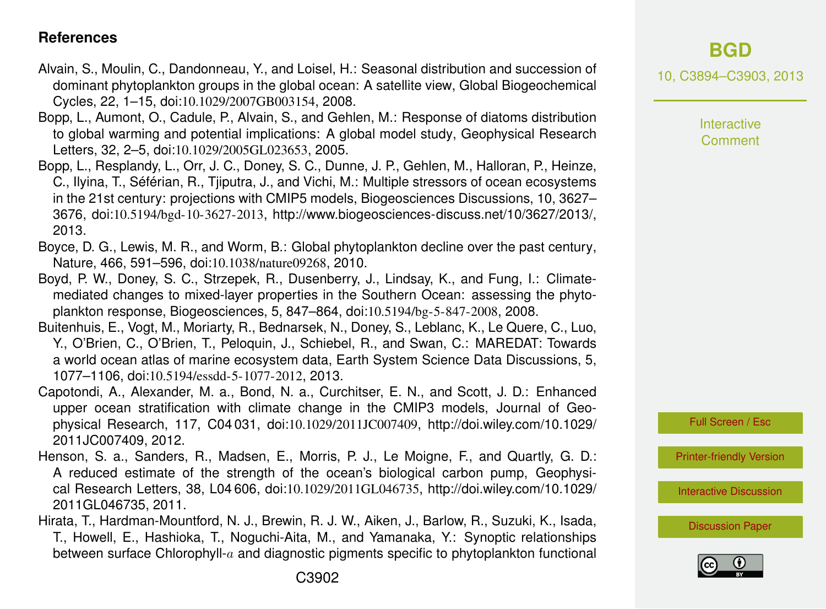#### <span id="page-8-0"></span>**References**

- Alvain, S., Moulin, C., Dandonneau, Y., and Loisel, H.: Seasonal distribution and succession of dominant phytoplankton groups in the global ocean: A satellite view, Global Biogeochemical Cycles, 22, 1–15, doi:10.1029/2007GB003154, 2008.
- Bopp, L., Aumont, O., Cadule, P., Alvain, S., and Gehlen, M.: Response of diatoms distribution to global warming and potential implications: A global model study, Geophysical Research Letters, 32, 2–5, doi:10.1029/2005GL023653, 2005.
- Bopp, L., Resplandy, L., Orr, J. C., Doney, S. C., Dunne, J. P., Gehlen, M., Halloran, P., Heinze, C., Ilyina, T., Séférian, R., Tjiputra, J., and Vichi, M.: Multiple stressors of ocean ecosystems in the 21st century: projections with CMIP5 models, Biogeosciences Discussions, 10, 3627– 3676, doi:10.5194/bgd-10-3627-2013, [http://www.biogeosciences-discuss.net/10/3627/2013/,](http://www.biogeosciences-discuss.net/10/3627/2013/) 2013.
- Boyce, D. G., Lewis, M. R., and Worm, B.: Global phytoplankton decline over the past century, Nature, 466, 591–596, doi:10.1038/nature09268, 2010.
- Boyd, P. W., Doney, S. C., Strzepek, R., Dusenberry, J., Lindsay, K., and Fung, I.: Climatemediated changes to mixed-layer properties in the Southern Ocean: assessing the phytoplankton response, Biogeosciences, 5, 847–864, doi:10.5194/bg-5-847-2008, 2008.
- Buitenhuis, E., Vogt, M., Moriarty, R., Bednarsek, N., Doney, S., Leblanc, K., Le Quere, C., Luo, Y., O'Brien, C., O'Brien, T., Peloquin, J., Schiebel, R., and Swan, C.: MAREDAT: Towards a world ocean atlas of marine ecosystem data, Earth System Science Data Discussions, 5, 1077–1106, doi:10.5194/essdd-5-1077-2012, 2013.
- Capotondi, A., Alexander, M. a., Bond, N. a., Curchitser, E. N., and Scott, J. D.: Enhanced upper ocean stratification with climate change in the CMIP3 models, Journal of Geophysical Research, 117, C04 031, doi:10.1029/2011JC007409, [http://doi.wiley.com/10.1029/](http://doi.wiley.com/10.1029/2011JC007409) [2011JC007409,](http://doi.wiley.com/10.1029/2011JC007409) 2012.
- Henson, S. a., Sanders, R., Madsen, E., Morris, P. J., Le Moigne, F., and Quartly, G. D.: A reduced estimate of the strength of the ocean's biological carbon pump, Geophysical Research Letters, 38, L04 606, doi:10.1029/2011GL046735, [http://doi.wiley.com/10.1029/](http://doi.wiley.com/10.1029/2011GL046735) [2011GL046735,](http://doi.wiley.com/10.1029/2011GL046735) 2011.
- Hirata, T., Hardman-Mountford, N. J., Brewin, R. J. W., Aiken, J., Barlow, R., Suzuki, K., Isada, T., Howell, E., Hashioka, T., Noguchi-Aita, M., and Yamanaka, Y.: Synoptic relationships between surface Chlorophyll-a and diagnostic pigments specific to phytoplankton functional

10, C3894–C3903, 2013

Interactive **Comment** 

Full Screen / Esc

[Printer-friendly Version](http://www.biogeosciences-discuss.net/10/C3894/2013/bgd-10-C3894-2013-print.pdf)

[Interactive Discussion](http://www.biogeosciences-discuss.net/10/5923/2013/bgd-10-5923-2013-discussion.html)